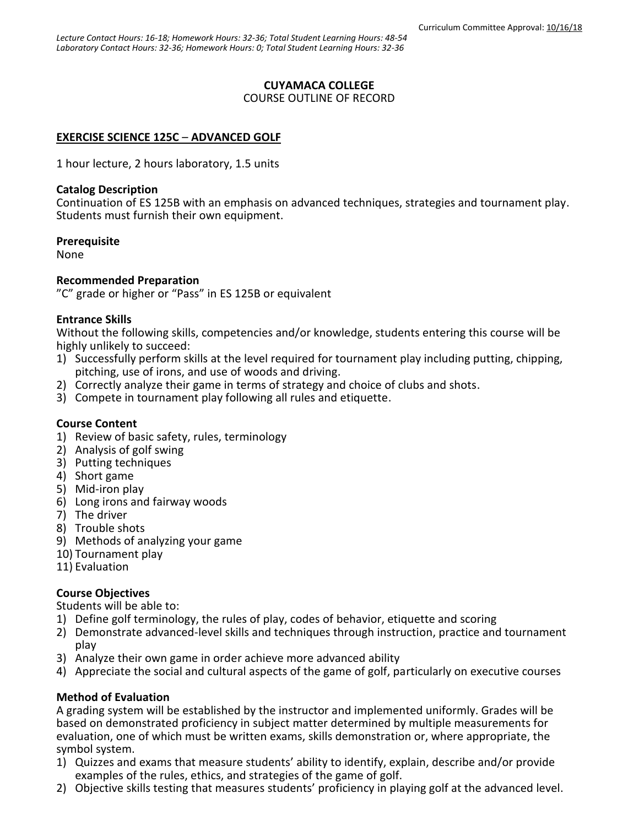# **CUYAMACA COLLEGE**

#### COURSE OUTLINE OF RECORD

### **EXERCISE SCIENCE 125C** – **ADVANCED GOLF**

1 hour lecture, 2 hours laboratory, 1.5 units

#### **Catalog Description**

Continuation of ES 125B with an emphasis on advanced techniques, strategies and tournament play. Students must furnish their own equipment.

#### **Prerequisite**

None

#### **Recommended Preparation**

"C" grade or higher or "Pass" in ES 125B or equivalent

#### **Entrance Skills**

Without the following skills, competencies and/or knowledge, students entering this course will be highly unlikely to succeed:

- 1) Successfully perform skills at the level required for tournament play including putting, chipping, pitching, use of irons, and use of woods and driving.
- 2) Correctly analyze their game in terms of strategy and choice of clubs and shots.
- 3) Compete in tournament play following all rules and etiquette.

### **Course Content**

- 1) Review of basic safety, rules, terminology
- 2) Analysis of golf swing
- 3) Putting techniques
- 4) Short game
- 5) Mid-iron play
- 6) Long irons and fairway woods
- 7) The driver
- 8) Trouble shots
- 9) Methods of analyzing your game
- 10) Tournament play
- 11) Evaluation

### **Course Objectives**

Students will be able to:

- 1) Define golf terminology, the rules of play, codes of behavior, etiquette and scoring
- 2) Demonstrate advanced-level skills and techniques through instruction, practice and tournament play
- 3) Analyze their own game in order achieve more advanced ability
- 4) Appreciate the social and cultural aspects of the game of golf, particularly on executive courses

### **Method of Evaluation**

A grading system will be established by the instructor and implemented uniformly. Grades will be based on demonstrated proficiency in subject matter determined by multiple measurements for evaluation, one of which must be written exams, skills demonstration or, where appropriate, the symbol system.

- 1) Quizzes and exams that measure students' ability to identify, explain, describe and/or provide examples of the rules, ethics, and strategies of the game of golf.
- 2) Objective skills testing that measures students' proficiency in playing golf at the advanced level.